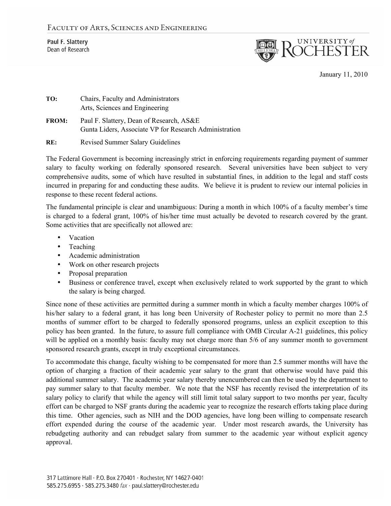Paul F. Slattery Dean of Research



January 11, 2010

| TO:          | Chairs, Faculty and Administrators<br>Arts, Sciences and Engineering                               |
|--------------|----------------------------------------------------------------------------------------------------|
| <b>FROM:</b> | Paul F. Slattery, Dean of Research, AS&E<br>Gunta Liders, Associate VP for Research Administration |
| RE:          | <b>Revised Summer Salary Guidelines</b>                                                            |

The Federal Government is becoming increasingly strict in enforcing requirements regarding payment of summer salary to faculty working on federally sponsored research. Several universities have been subject to very comprehensive audits, some of which have resulted in substantial fines, in addition to the legal and staff costs incurred in preparing for and conducting these audits. We believe it is prudent to review our internal policies in response to these recent federal actions.

The fundamental principle is clear and unambiguous: During a month in which 100% of a faculty member's time is charged to a federal grant, 100% of his/her time must actually be devoted to research covered by the grant. Some activities that are specifically not allowed are:

- Vacation
- Teaching
- Academic administration
- Work on other research projects
- Proposal preparation
- Business or conference travel, except when exclusively related to work supported by the grant to which the salary is being charged.

Since none of these activities are permitted during a summer month in which a faculty member charges 100% of his/her salary to a federal grant, it has long been University of Rochester policy to permit no more than 2.5 months of summer effort to be charged to federally sponsored programs, unless an explicit exception to this policy has been granted. In the future, to assure full compliance with OMB Circular A-21 guidelines, this policy will be applied on a monthly basis: faculty may not charge more than 5/6 of any summer month to government sponsored research grants, except in truly exceptional circumstances.

To accommodate this change, faculty wishing to be compensated for more than 2.5 summer months will have the option of charging a fraction of their academic year salary to the grant that otherwise would have paid this additional summer salary. The academic year salary thereby unencumbered can then be used by the department to pay summer salary to that faculty member. We note that the NSF has recently revised the interpretation of its salary policy to clarify that while the agency will still limit total salary support to two months per year, faculty effort can be charged to NSF grants during the academic year to recognize the research efforts taking place during this time. Other agencies, such as NIH and the DOD agencies, have long been willing to compensate research effort expended during the course of the academic year. Under most research awards, the University has rebudgeting authority and can rebudget salary from summer to the academic year without explicit agency approval.